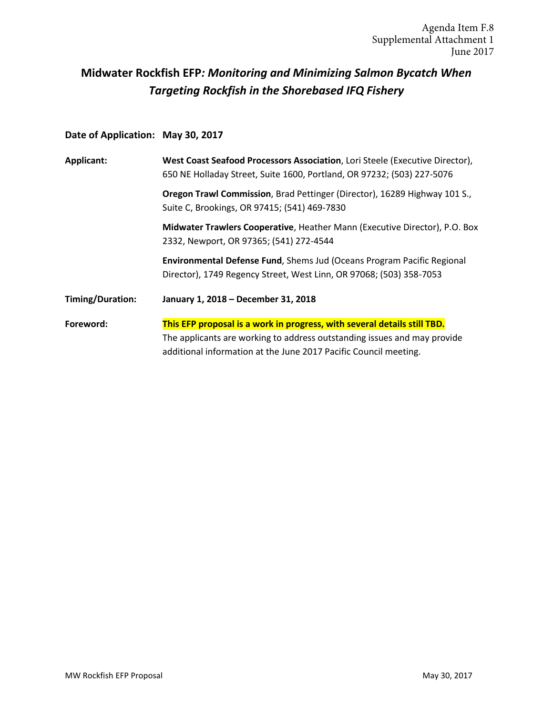# **Midwater Rockfish EFP***: Monitoring and Minimizing Salmon Bycatch When Targeting Rockfish in the Shorebased IFQ Fishery*

# **Date of Application: May 30, 2017**

| Applicant:       | West Coast Seafood Processors Association, Lori Steele (Executive Director),<br>650 NE Holladay Street, Suite 1600, Portland, OR 97232; (503) 227-5076 |  |  |  |  |
|------------------|--------------------------------------------------------------------------------------------------------------------------------------------------------|--|--|--|--|
|                  | Oregon Trawl Commission, Brad Pettinger (Director), 16289 Highway 101 S.,<br>Suite C, Brookings, OR 97415; (541) 469-7830                              |  |  |  |  |
|                  | Midwater Trawlers Cooperative, Heather Mann (Executive Director), P.O. Box<br>2332, Newport, OR 97365; (541) 272-4544                                  |  |  |  |  |
|                  | Environmental Defense Fund, Shems Jud (Oceans Program Pacific Regional<br>Director), 1749 Regency Street, West Linn, OR 97068; (503) 358-7053          |  |  |  |  |
| Timing/Duration: | January 1, 2018 - December 31, 2018                                                                                                                    |  |  |  |  |
| Foreword:        | This EFP proposal is a work in progress, with several details still TBD.                                                                               |  |  |  |  |
|                  | The applicants are working to address outstanding issues and may provide                                                                               |  |  |  |  |
|                  | additional information at the June 2017 Pacific Council meeting.                                                                                       |  |  |  |  |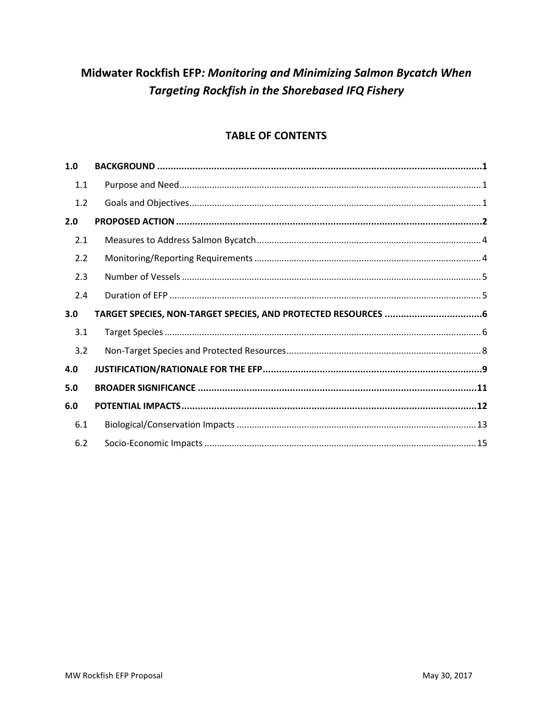# Midwater Rockfish EFP: Monitoring and Minimizing Salmon Bycatch When **Targeting Rockfish in the Shorebased IFQ Fishery**

# **TABLE OF CONTENTS**

| 1.0 |  |
|-----|--|
| 1.1 |  |
| 1.2 |  |
| 2.0 |  |
| 2.1 |  |
| 2.2 |  |
| 2.3 |  |
| 2.4 |  |
|     |  |
| 3.0 |  |
| 3.1 |  |
| 3.2 |  |
| 4.0 |  |
| 5.0 |  |
| 6.0 |  |
| 6.1 |  |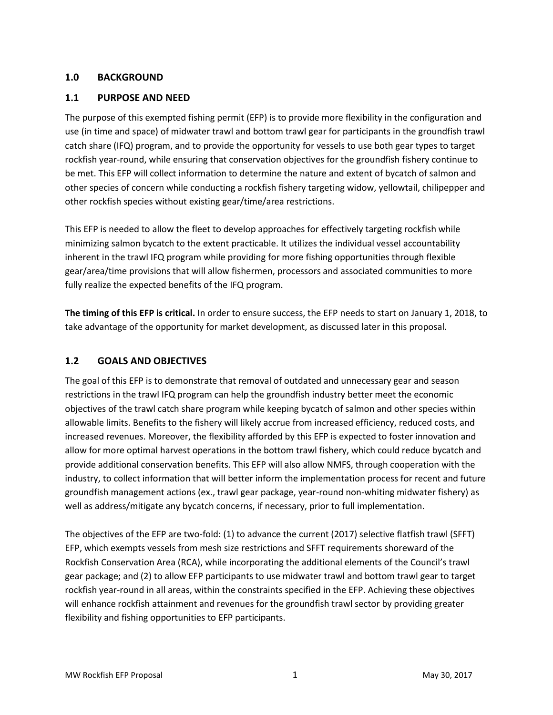#### <span id="page-2-0"></span>**1.0 BACKGROUND**

#### <span id="page-2-1"></span>**1.1 PURPOSE AND NEED**

The purpose of this exempted fishing permit (EFP) is to provide more flexibility in the configuration and use (in time and space) of midwater trawl and bottom trawl gear for participants in the groundfish trawl catch share (IFQ) program, and to provide the opportunity for vessels to use both gear types to target rockfish year-round, while ensuring that conservation objectives for the groundfish fishery continue to be met. This EFP will collect information to determine the nature and extent of bycatch of salmon and other species of concern while conducting a rockfish fishery targeting widow, yellowtail, chilipepper and other rockfish species without existing gear/time/area restrictions.

This EFP is needed to allow the fleet to develop approaches for effectively targeting rockfish while minimizing salmon bycatch to the extent practicable. It utilizes the individual vessel accountability inherent in the trawl IFQ program while providing for more fishing opportunities through flexible gear/area/time provisions that will allow fishermen, processors and associated communities to more fully realize the expected benefits of the IFQ program.

**The timing of this EFP is critical.** In order to ensure success, the EFP needs to start on January 1, 2018, to take advantage of the opportunity for market development, as discussed later in this proposal.

### <span id="page-2-2"></span>**1.2 GOALS AND OBJECTIVES**

The goal of this EFP is to demonstrate that removal of outdated and unnecessary gear and season restrictions in the trawl IFQ program can help the groundfish industry better meet the economic objectives of the trawl catch share program while keeping bycatch of salmon and other species within allowable limits. Benefits to the fishery will likely accrue from increased efficiency, reduced costs, and increased revenues. Moreover, the flexibility afforded by this EFP is expected to foster innovation and allow for more optimal harvest operations in the bottom trawl fishery, which could reduce bycatch and provide additional conservation benefits. This EFP will also allow NMFS, through cooperation with the industry, to collect information that will better inform the implementation process for recent and future groundfish management actions (ex., trawl gear package, year-round non-whiting midwater fishery) as well as address/mitigate any bycatch concerns, if necessary, prior to full implementation.

The objectives of the EFP are two-fold: (1) to advance the current (2017) selective flatfish trawl (SFFT) EFP, which exempts vessels from mesh size restrictions and SFFT requirements shoreward of the Rockfish Conservation Area (RCA), while incorporating the additional elements of the Council's trawl gear package; and (2) to allow EFP participants to use midwater trawl and bottom trawl gear to target rockfish year-round in all areas, within the constraints specified in the EFP. Achieving these objectives will enhance rockfish attainment and revenues for the groundfish trawl sector by providing greater flexibility and fishing opportunities to EFP participants.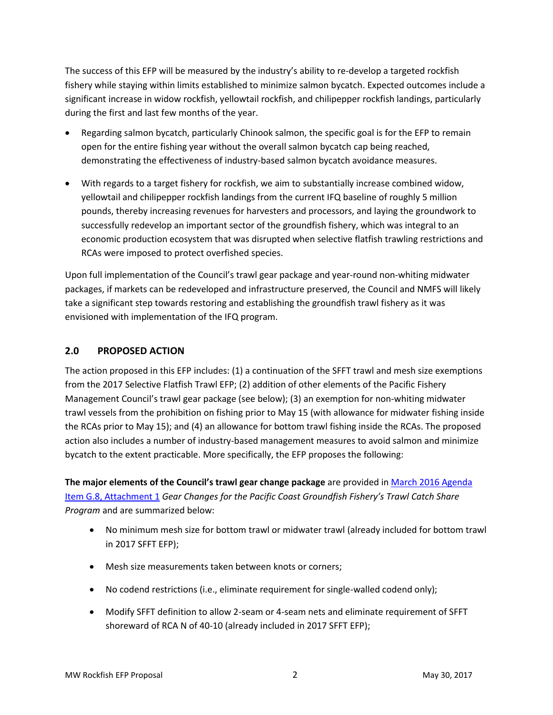The success of this EFP will be measured by the industry's ability to re-develop a targeted rockfish fishery while staying within limits established to minimize salmon bycatch. Expected outcomes include a significant increase in widow rockfish, yellowtail rockfish, and chilipepper rockfish landings, particularly during the first and last few months of the year.

- Regarding salmon bycatch, particularly Chinook salmon, the specific goal is for the EFP to remain open for the entire fishing year without the overall salmon bycatch cap being reached, demonstrating the effectiveness of industry-based salmon bycatch avoidance measures.
- With regards to a target fishery for rockfish, we aim to substantially increase combined widow, yellowtail and chilipepper rockfish landings from the current IFQ baseline of roughly 5 million pounds, thereby increasing revenues for harvesters and processors, and laying the groundwork to successfully redevelop an important sector of the groundfish fishery, which was integral to an economic production ecosystem that was disrupted when selective flatfish trawling restrictions and RCAs were imposed to protect overfished species.

Upon full implementation of the Council's trawl gear package and year-round non-whiting midwater packages, if markets can be redeveloped and infrastructure preserved, the Council and NMFS will likely take a significant step towards restoring and establishing the groundfish trawl fishery as it was envisioned with implementation of the IFQ program.

# <span id="page-3-0"></span>**2.0 PROPOSED ACTION**

The action proposed in this EFP includes: (1) a continuation of the SFFT trawl and mesh size exemptions from the 2017 Selective Flatfish Trawl EFP; (2) addition of other elements of the Pacific Fishery Management Council's trawl gear package (see below); (3) an exemption for non-whiting midwater trawl vessels from the prohibition on fishing prior to May 15 (with allowance for midwater fishing inside the RCAs prior to May 15); and (4) an allowance for bottom trawl fishing inside the RCAs. The proposed action also includes a number of industry-based management measures to avoid salmon and minimize bycatch to the extent practicable. More specifically, the EFP proposes the following:

**The major elements of the Council's trawl gear change package** are provided in [March 2016 Agenda](http://www.pcouncil.org/wp-content/uploads/2016/02/G8_Att1_FullVersion_Prelim_GF_GearDEIS_E-Only_MAR2016BB.pdf)  [Item G.8, Attachment 1](http://www.pcouncil.org/wp-content/uploads/2016/02/G8_Att1_FullVersion_Prelim_GF_GearDEIS_E-Only_MAR2016BB.pdf) *Gear Changes for the Pacific Coast Groundfish Fishery's Trawl Catch Share Program* and are summarized below:

- No minimum mesh size for bottom trawl or midwater trawl (already included for bottom trawl in 2017 SFFT EFP);
- Mesh size measurements taken between knots or corners;
- No codend restrictions (i.e., eliminate requirement for single-walled codend only);
- Modify SFFT definition to allow 2-seam or 4-seam nets and eliminate requirement of SFFT shoreward of RCA N of 40-10 (already included in 2017 SFFT EFP);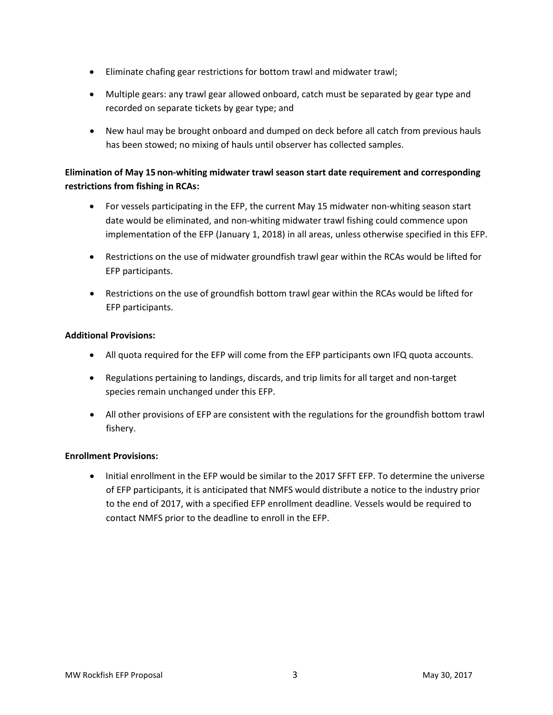- Eliminate chafing gear restrictions for bottom trawl and midwater trawl;
- Multiple gears: any trawl gear allowed onboard, catch must be separated by gear type and recorded on separate tickets by gear type; and
- New haul may be brought onboard and dumped on deck before all catch from previous hauls has been stowed; no mixing of hauls until observer has collected samples.

# **Elimination of May 15 non-whiting midwater trawl season start date requirement and corresponding restrictions from fishing in RCAs:**

- For vessels participating in the EFP, the current May 15 midwater non-whiting season start date would be eliminated, and non-whiting midwater trawl fishing could commence upon implementation of the EFP (January 1, 2018) in all areas, unless otherwise specified in this EFP.
- Restrictions on the use of midwater groundfish trawl gear within the RCAs would be lifted for EFP participants.
- Restrictions on the use of groundfish bottom trawl gear within the RCAs would be lifted for EFP participants.

### **Additional Provisions:**

- All quota required for the EFP will come from the EFP participants own IFQ quota accounts.
- Regulations pertaining to landings, discards, and trip limits for all target and non-target species remain unchanged under this EFP.
- All other provisions of EFP are consistent with the regulations for the groundfish bottom trawl fishery.

#### **Enrollment Provisions:**

• Initial enrollment in the EFP would be similar to the 2017 SFFT EFP. To determine the universe of EFP participants, it is anticipated that NMFS would distribute a notice to the industry prior to the end of 2017, with a specified EFP enrollment deadline. Vessels would be required to contact NMFS prior to the deadline to enroll in the EFP.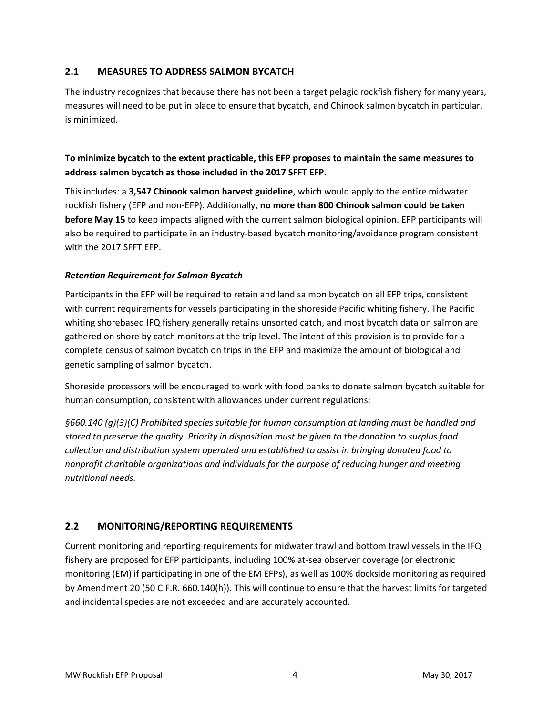# <span id="page-5-0"></span>**2.1 MEASURES TO ADDRESS SALMON BYCATCH**

The industry recognizes that because there has not been a target pelagic rockfish fishery for many years, measures will need to be put in place to ensure that bycatch, and Chinook salmon bycatch in particular, is minimized.

# **To minimize bycatch to the extent practicable, this EFP proposes to maintain the same measures to address salmon bycatch as those included in the 2017 SFFT EFP.**

This includes: a **3,547 Chinook salmon harvest guideline**, which would apply to the entire midwater rockfish fishery (EFP and non-EFP). Additionally, **no more than 800 Chinook salmon could be taken before May 15** to keep impacts aligned with the current salmon biological opinion. EFP participants will also be required to participate in an industry-based bycatch monitoring/avoidance program consistent with the 2017 SFFT EFP.

### *Retention Requirement for Salmon Bycatch*

Participants in the EFP will be required to retain and land salmon bycatch on all EFP trips, consistent with current requirements for vessels participating in the shoreside Pacific whiting fishery. The Pacific whiting shorebased IFQ fishery generally retains unsorted catch, and most bycatch data on salmon are gathered on shore by catch monitors at the trip level. The intent of this provision is to provide for a complete census of salmon bycatch on trips in the EFP and maximize the amount of biological and genetic sampling of salmon bycatch.

Shoreside processors will be encouraged to work with food banks to donate salmon bycatch suitable for human consumption, consistent with allowances under current regulations:

*§660.140 (g)(3)(C) Prohibited species suitable for human consumption at landing must be handled and stored to preserve the quality. Priority in disposition must be given to the donation to surplus food collection and distribution system operated and established to assist in bringing donated food to nonprofit charitable organizations and individuals for the purpose of reducing hunger and meeting nutritional needs.*

# <span id="page-5-1"></span>**2.2 MONITORING/REPORTING REQUIREMENTS**

Current monitoring and reporting requirements for midwater trawl and bottom trawl vessels in the IFQ fishery are proposed for EFP participants, including 100% at-sea observer coverage (or electronic monitoring (EM) if participating in one of the EM EFPs), as well as 100% dockside monitoring as required by Amendment 20 (50 C.F.R. 660.140(h)). This will continue to ensure that the harvest limits for targeted and incidental species are not exceeded and are accurately accounted.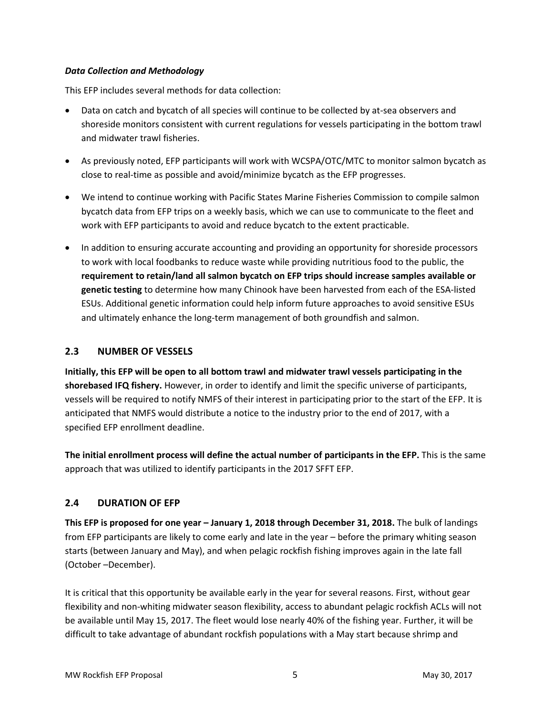#### *Data Collection and Methodology*

This EFP includes several methods for data collection:

- Data on catch and bycatch of all species will continue to be collected by at-sea observers and shoreside monitors consistent with current regulations for vessels participating in the bottom trawl and midwater trawl fisheries.
- As previously noted, EFP participants will work with WCSPA/OTC/MTC to monitor salmon bycatch as close to real-time as possible and avoid/minimize bycatch as the EFP progresses.
- We intend to continue working with Pacific States Marine Fisheries Commission to compile salmon bycatch data from EFP trips on a weekly basis, which we can use to communicate to the fleet and work with EFP participants to avoid and reduce bycatch to the extent practicable.
- In addition to ensuring accurate accounting and providing an opportunity for shoreside processors to work with local foodbanks to reduce waste while providing nutritious food to the public, the **requirement to retain/land all salmon bycatch on EFP trips should increase samples available or genetic testing** to determine how many Chinook have been harvested from each of the ESA-listed ESUs. Additional genetic information could help inform future approaches to avoid sensitive ESUs and ultimately enhance the long-term management of both groundfish and salmon.

### <span id="page-6-0"></span>**2.3 NUMBER OF VESSELS**

**Initially, this EFP will be open to all bottom trawl and midwater trawl vessels participating in the shorebased IFQ fishery.** However, in order to identify and limit the specific universe of participants, vessels will be required to notify NMFS of their interest in participating prior to the start of the EFP. It is anticipated that NMFS would distribute a notice to the industry prior to the end of 2017, with a specified EFP enrollment deadline.

**The initial enrollment process will define the actual number of participants in the EFP.** This is the same approach that was utilized to identify participants in the 2017 SFFT EFP.

### <span id="page-6-1"></span>**2.4 DURATION OF EFP**

**This EFP is proposed for one year – January 1, 2018 through December 31, 2018.** The bulk of landings from EFP participants are likely to come early and late in the year – before the primary whiting season starts (between January and May), and when pelagic rockfish fishing improves again in the late fall (October –December).

It is critical that this opportunity be available early in the year for several reasons. First, without gear flexibility and non-whiting midwater season flexibility, access to abundant pelagic rockfish ACLs will not be available until May 15, 2017. The fleet would lose nearly 40% of the fishing year. Further, it will be difficult to take advantage of abundant rockfish populations with a May start because shrimp and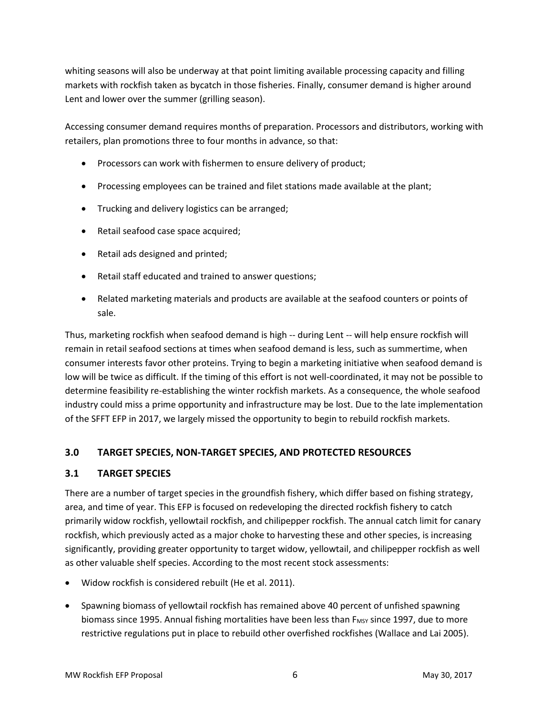whiting seasons will also be underway at that point limiting available processing capacity and filling markets with rockfish taken as bycatch in those fisheries. Finally, consumer demand is higher around Lent and lower over the summer (grilling season).

Accessing consumer demand requires months of preparation. Processors and distributors, working with retailers, plan promotions three to four months in advance, so that:

- Processors can work with fishermen to ensure delivery of product;
- Processing employees can be trained and filet stations made available at the plant;
- Trucking and delivery logistics can be arranged;
- Retail seafood case space acquired;
- Retail ads designed and printed;
- Retail staff educated and trained to answer questions;
- Related marketing materials and products are available at the seafood counters or points of sale.

Thus, marketing rockfish when seafood demand is high -- during Lent -- will help ensure rockfish will remain in retail seafood sections at times when seafood demand is less, such as summertime, when consumer interests favor other proteins. Trying to begin a marketing initiative when seafood demand is low will be twice as difficult. If the timing of this effort is not well-coordinated, it may not be possible to determine feasibility re-establishing the winter rockfish markets. As a consequence, the whole seafood industry could miss a prime opportunity and infrastructure may be lost. Due to the late implementation of the SFFT EFP in 2017, we largely missed the opportunity to begin to rebuild rockfish markets.

# <span id="page-7-0"></span>**3.0 TARGET SPECIES, NON-TARGET SPECIES, AND PROTECTED RESOURCES**

### <span id="page-7-1"></span>**3.1 TARGET SPECIES**

There are a number of target species in the groundfish fishery, which differ based on fishing strategy, area, and time of year. This EFP is focused on redeveloping the directed rockfish fishery to catch primarily widow rockfish, yellowtail rockfish, and chilipepper rockfish. The annual catch limit for canary rockfish, which previously acted as a major choke to harvesting these and other species, is increasing significantly, providing greater opportunity to target widow, yellowtail, and chilipepper rockfish as well as other valuable shelf species. According to the most recent stock assessments:

- Widow rockfish is considered rebuilt (He et al. 2011).
- Spawning biomass of yellowtail rockfish has remained above 40 percent of unfished spawning biomass since 1995. Annual fishing mortalities have been less than  $F_{MSY}$  since 1997, due to more restrictive regulations put in place to rebuild other overfished rockfishes (Wallace and Lai 2005).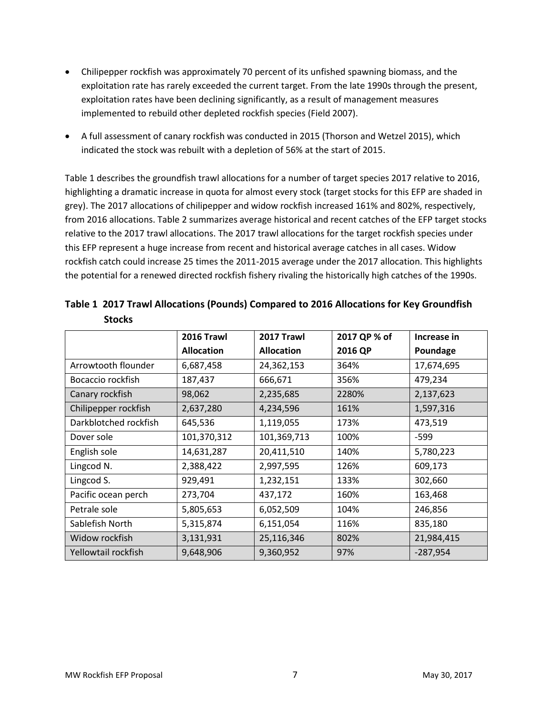- Chilipepper rockfish was approximately 70 percent of its unfished spawning biomass, and the exploitation rate has rarely exceeded the current target. From the late 1990s through the present, exploitation rates have been declining significantly, as a result of management measures implemented to rebuild other depleted rockfish species (Field 2007).
- A full assessment of canary rockfish was conducted in 2015 (Thorson and Wetzel 2015), which indicated the stock was rebuilt with a depletion of 56% at the start of 2015.

[Table 1](#page-8-0) describes the groundfish trawl allocations for a number of target species 2017 relative to 2016, highlighting a dramatic increase in quota for almost every stock (target stocks for this EFP are shaded in grey). The 2017 allocations of chilipepper and widow rockfish increased 161% and 802%, respectively, from 2016 allocations[. Table 2](#page-9-1) summarizes average historical and recent catches of the EFP target stocks relative to the 2017 trawl allocations. The 2017 trawl allocations for the target rockfish species under this EFP represent a huge increase from recent and historical average catches in all cases. Widow rockfish catch could increase 25 times the 2011-2015 average under the 2017 allocation. This highlights the potential for a renewed directed rockfish fishery rivaling the historically high catches of the 1990s.

|                       | 2016 Trawl        | 2017 Trawl        | 2017 QP % of | Increase in |
|-----------------------|-------------------|-------------------|--------------|-------------|
|                       | <b>Allocation</b> | <b>Allocation</b> | 2016 QP      | Poundage    |
| Arrowtooth flounder   | 6,687,458         | 24,362,153        | 364%         | 17,674,695  |
| Bocaccio rockfish     | 187,437           | 666,671           | 356%         | 479,234     |
| Canary rockfish       | 98,062            | 2,235,685         | 2280%        | 2,137,623   |
| Chilipepper rockfish  | 2,637,280         | 4,234,596         | 161%         | 1,597,316   |
| Darkblotched rockfish | 645,536           | 1,119,055         | 173%         | 473,519     |
| Dover sole            | 101,370,312       | 101,369,713       | 100%         | $-599$      |
| English sole          | 14,631,287        | 20,411,510        | 140%         | 5,780,223   |
| Lingcod N.            | 2,388,422         | 2,997,595         | 126%         | 609,173     |
| Lingcod S.            | 929,491           | 1,232,151         | 133%         | 302,660     |
| Pacific ocean perch   | 273,704           | 437,172           | 160%         | 163,468     |
| Petrale sole          | 5,805,653         | 6,052,509         | 104%         | 246,856     |
| Sablefish North       | 5,315,874         | 6,151,054         | 116%         | 835,180     |
| Widow rockfish        | 3,131,931         | 25,116,346        | 802%         | 21,984,415  |
| Yellowtail rockfish   | 9,648,906         | 9,360,952         | 97%          | $-287,954$  |

<span id="page-8-0"></span>**Table 1 2017 Trawl Allocations (Pounds) Compared to 2016 Allocations for Key Groundfish Stocks**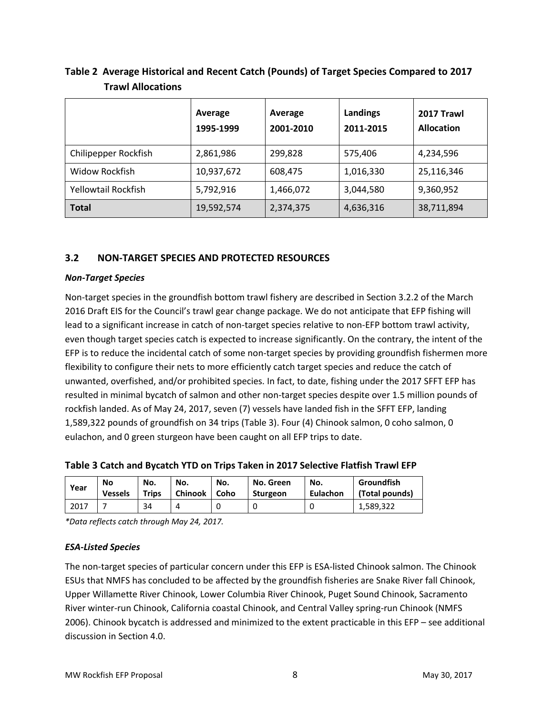|                      | Average<br>1995-1999 | Average<br>2001-2010 | Landings<br>2011-2015 | 2017 Trawl<br><b>Allocation</b> |
|----------------------|----------------------|----------------------|-----------------------|---------------------------------|
| Chilipepper Rockfish | 2,861,986            | 299,828              | 575,406               | 4,234,596                       |
| Widow Rockfish       | 10,937,672           | 608,475              | 1,016,330             | 25,116,346                      |
| Yellowtail Rockfish  | 5,792,916            | 1,466,072            | 3,044,580             | 9,360,952                       |
| <b>Total</b>         | 19,592,574           | 2,374,375            | 4,636,316             | 38,711,894                      |

<span id="page-9-1"></span>**Table 2 Average Historical and Recent Catch (Pounds) of Target Species Compared to 2017 Trawl Allocations**

#### <span id="page-9-0"></span>**3.2 NON-TARGET SPECIES AND PROTECTED RESOURCES**

#### *Non-Target Species*

Non-target species in the groundfish bottom trawl fishery are described in Section 3.2.2 of the March 2016 Draft EIS for the Council's trawl gear change package. We do not anticipate that EFP fishing will lead to a significant increase in catch of non-target species relative to non-EFP bottom trawl activity, even though target species catch is expected to increase significantly. On the contrary, the intent of the EFP is to reduce the incidental catch of some non-target species by providing groundfish fishermen more flexibility to configure their nets to more efficiently catch target species and reduce the catch of unwanted, overfished, and/or prohibited species. In fact, to date, fishing under the 2017 SFFT EFP has resulted in minimal bycatch of salmon and other non-target species despite over 1.5 million pounds of rockfish landed. As of May 24, 2017, seven (7) vessels have landed fish in the SFFT EFP, landing 1,589,322 pounds of groundfish on 34 trips [\(Table 3\)](#page-9-2). Four (4) Chinook salmon, 0 coho salmon, 0 eulachon, and 0 green sturgeon have been caught on all EFP trips to date.

<span id="page-9-2"></span>**Table 3 Catch and Bycatch YTD on Trips Taken in 2017 Selective Flatfish Trawl EFP**

| Year | No             | No.   | No.            | No.  | No. Green | No.      | Groundfish     |
|------|----------------|-------|----------------|------|-----------|----------|----------------|
|      | <b>Vessels</b> | Trips | <b>Chinook</b> | Coho | Sturgeon  | Eulachon | (Total pounds) |
| 2017 |                | 34    |                |      |           |          | 1,589,322      |

*\*Data reflects catch through May 24, 2017.*

#### *ESA-Listed Species*

The non-target species of particular concern under this EFP is ESA-listed Chinook salmon. The Chinook ESUs that NMFS has concluded to be affected by the groundfish fisheries are Snake River fall Chinook, Upper Willamette River Chinook, Lower Columbia River Chinook, Puget Sound Chinook, Sacramento River winter-run Chinook, California coastal Chinook, and Central Valley spring-run Chinook (NMFS 2006). Chinook bycatch is addressed and minimized to the extent practicable in this EFP – see additional discussion in Sectio[n 4.0.](#page-10-0)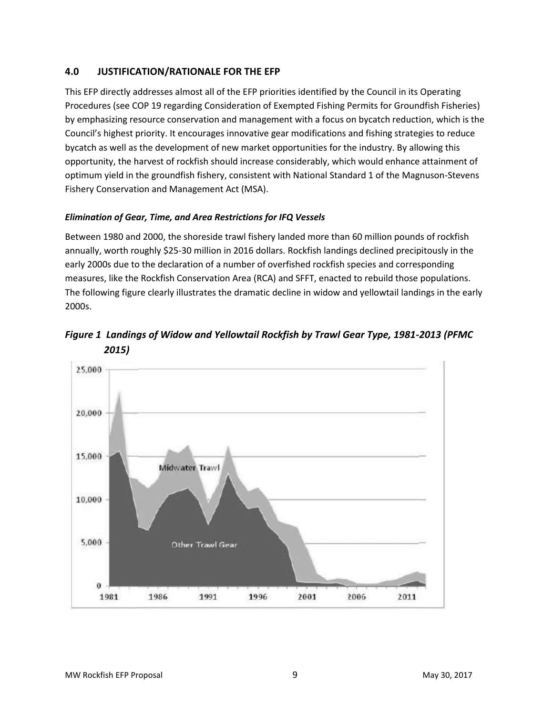# <span id="page-10-0"></span>**4.0 JUSTIFICATION/RATIONALE FOR THE EFP**

This EFP directly addresses almost all of the EFP priorities identified by the Council in its Operating Procedures (see [COP 19 regarding Consideration of Exempted Fishing Permits for Groundfish Fisheries\)](http://www.pcouncil.org/wp-content/uploads/cop19.pdf) by emphasizing resource conservation and management with a focus on bycatch reduction, which is the Council's highest priority. It encourages innovative gear modifications and fishing strategies to reduce bycatch as well as the development of new market opportunities for the industry. By allowing this opportunity, the harvest of rockfish should increase considerably, which would enhance attainment of optimum yield in the groundfish fishery, consistent with National Standard 1 of the Magnuson-Stevens Fishery Conservation and Management Act (MSA).

### *Elimination of Gear, Time, and Area Restrictions for IFQ Vessels*

Between 1980 and 2000, the shoreside trawl fishery landed more than 60 million pounds of rockfish annually, worth roughly \$25-30 million in 2016 dollars. Rockfish landings declined precipitously in the early 2000s due to the declaration of a number of overfished rockfish species and corresponding measures, like the Rockfish Conservation Area (RCA) and SFFT, enacted to rebuild those populations. The following figure clearly illustrates the dramatic decline in widow and yellowtail landings in the early 2000s.



*Figure 1 Landings of Widow and Yellowtail Rockfish by Trawl Gear Type, 1981-2013 (PFMC 2015)*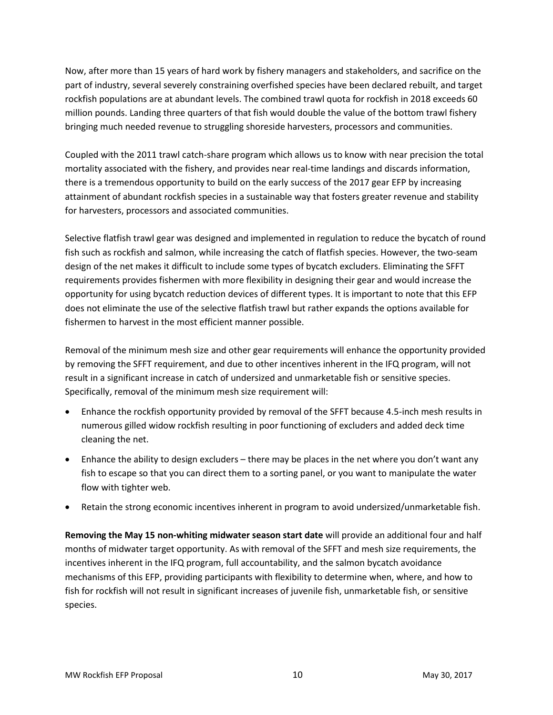Now, after more than 15 years of hard work by fishery managers and stakeholders, and sacrifice on the part of industry, several severely constraining overfished species have been declared rebuilt, and target rockfish populations are at abundant levels. The combined trawl quota for rockfish in 2018 exceeds 60 million pounds. Landing three quarters of that fish would double the value of the bottom trawl fishery bringing much needed revenue to struggling shoreside harvesters, processors and communities.

Coupled with the 2011 trawl catch-share program which allows us to know with near precision the total mortality associated with the fishery, and provides near real-time landings and discards information, there is a tremendous opportunity to build on the early success of the 2017 gear EFP by increasing attainment of abundant rockfish species in a sustainable way that fosters greater revenue and stability for harvesters, processors and associated communities.

Selective flatfish trawl gear was designed and implemented in regulation to reduce the bycatch of round fish such as rockfish and salmon, while increasing the catch of flatfish species. However, the two-seam design of the net makes it difficult to include some types of bycatch excluders. Eliminating the SFFT requirements provides fishermen with more flexibility in designing their gear and would increase the opportunity for using bycatch reduction devices of different types. It is important to note that this EFP does not eliminate the use of the selective flatfish trawl but rather expands the options available for fishermen to harvest in the most efficient manner possible.

Removal of the minimum mesh size and other gear requirements will enhance the opportunity provided by removing the SFFT requirement, and due to other incentives inherent in the IFQ program, will not result in a significant increase in catch of undersized and unmarketable fish or sensitive species. Specifically, removal of the minimum mesh size requirement will:

- Enhance the rockfish opportunity provided by removal of the SFFT because 4.5-inch mesh results in numerous gilled widow rockfish resulting in poor functioning of excluders and added deck time cleaning the net.
- Enhance the ability to design excluders there may be places in the net where you don't want any fish to escape so that you can direct them to a sorting panel, or you want to manipulate the water flow with tighter web.
- Retain the strong economic incentives inherent in program to avoid undersized/unmarketable fish.

**Removing the May 15 non-whiting midwater season start date** will provide an additional four and half months of midwater target opportunity. As with removal of the SFFT and mesh size requirements, the incentives inherent in the IFQ program, full accountability, and the salmon bycatch avoidance mechanisms of this EFP, providing participants with flexibility to determine when, where, and how to fish for rockfish will not result in significant increases of juvenile fish, unmarketable fish, or sensitive species.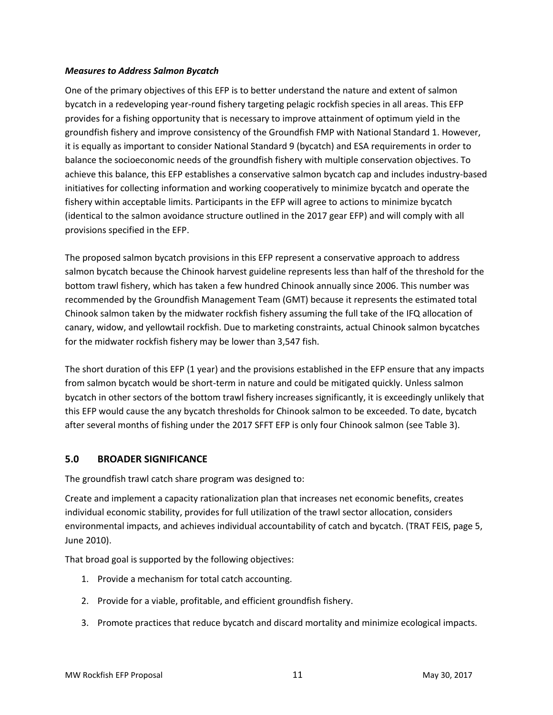#### *Measures to Address Salmon Bycatch*

One of the primary objectives of this EFP is to better understand the nature and extent of salmon bycatch in a redeveloping year-round fishery targeting pelagic rockfish species in all areas. This EFP provides for a fishing opportunity that is necessary to improve attainment of optimum yield in the groundfish fishery and improve consistency of the Groundfish FMP with National Standard 1. However, it is equally as important to consider National Standard 9 (bycatch) and ESA requirements in order to balance the socioeconomic needs of the groundfish fishery with multiple conservation objectives. To achieve this balance, this EFP establishes a conservative salmon bycatch cap and includes industry-based initiatives for collecting information and working cooperatively to minimize bycatch and operate the fishery within acceptable limits. Participants in the EFP will agree to actions to minimize bycatch (identical to the salmon avoidance structure outlined in the 2017 gear EFP) and will comply with all provisions specified in the EFP.

The proposed salmon bycatch provisions in this EFP represent a conservative approach to address salmon bycatch because the Chinook harvest guideline represents less than half of the threshold for the bottom trawl fishery, which has taken a few hundred Chinook annually since 2006. This number was recommended by the Groundfish Management Team (GMT) because it represents the estimated total Chinook salmon taken by the midwater rockfish fishery assuming the full take of the IFQ allocation of canary, widow, and yellowtail rockfish. Due to marketing constraints, actual Chinook salmon bycatches for the midwater rockfish fishery may be lower than 3,547 fish.

The short duration of this EFP (1 year) and the provisions established in the EFP ensure that any impacts from salmon bycatch would be short-term in nature and could be mitigated quickly. Unless salmon bycatch in other sectors of the bottom trawl fishery increases significantly, it is exceedingly unlikely that this EFP would cause the any bycatch thresholds for Chinook salmon to be exceeded. To date, bycatch after several months of fishing under the 2017 SFFT EFP is only four Chinook salmon (see [Table 3\)](#page-9-2).

### <span id="page-12-0"></span>**5.0 BROADER SIGNIFICANCE**

The groundfish trawl catch share program was designed to:

Create and implement a capacity rationalization plan that increases net economic benefits, creates individual economic stability, provides for full utilization of the trawl sector allocation, considers environmental impacts, and achieves individual accountability of catch and bycatch. (TRAT FEIS, page 5, June 2010).

That broad goal is supported by the following objectives:

- 1. Provide a mechanism for total catch accounting.
- 2. Provide for a viable, profitable, and efficient groundfish fishery.
- 3. Promote practices that reduce bycatch and discard mortality and minimize ecological impacts.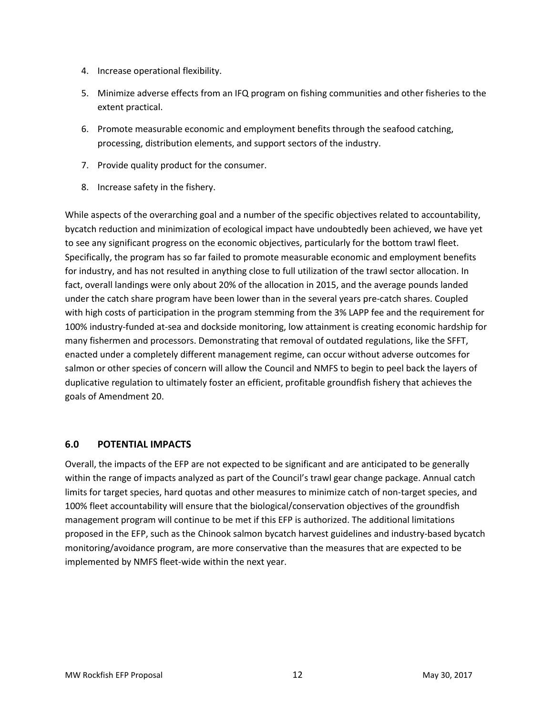- 4. Increase operational flexibility.
- 5. Minimize adverse effects from an IFQ program on fishing communities and other fisheries to the extent practical.
- 6. Promote measurable economic and employment benefits through the seafood catching, processing, distribution elements, and support sectors of the industry.
- 7. Provide quality product for the consumer.
- 8. Increase safety in the fishery.

While aspects of the overarching goal and a number of the specific objectives related to accountability, bycatch reduction and minimization of ecological impact have undoubtedly been achieved, we have yet to see any significant progress on the economic objectives, particularly for the bottom trawl fleet. Specifically, the program has so far failed to promote measurable economic and employment benefits for industry, and has not resulted in anything close to full utilization of the trawl sector allocation. In fact, overall landings were only about 20% of the allocation in 2015, and the average pounds landed under the catch share program have been lower than in the several years pre-catch shares. Coupled with high costs of participation in the program stemming from the 3% LAPP fee and the requirement for 100% industry-funded at-sea and dockside monitoring, low attainment is creating economic hardship for many fishermen and processors. Demonstrating that removal of outdated regulations, like the SFFT, enacted under a completely different management regime, can occur without adverse outcomes for salmon or other species of concern will allow the Council and NMFS to begin to peel back the layers of duplicative regulation to ultimately foster an efficient, profitable groundfish fishery that achieves the goals of Amendment 20.

### <span id="page-13-0"></span>**6.0 POTENTIAL IMPACTS**

Overall, the impacts of the EFP are not expected to be significant and are anticipated to be generally within the range of impacts analyzed as part of the Council's trawl gear change package. Annual catch limits for target species, hard quotas and other measures to minimize catch of non-target species, and 100% fleet accountability will ensure that the biological/conservation objectives of the groundfish management program will continue to be met if this EFP is authorized. The additional limitations proposed in the EFP, such as the Chinook salmon bycatch harvest guidelines and industry-based bycatch monitoring/avoidance program, are more conservative than the measures that are expected to be implemented by NMFS fleet-wide within the next year.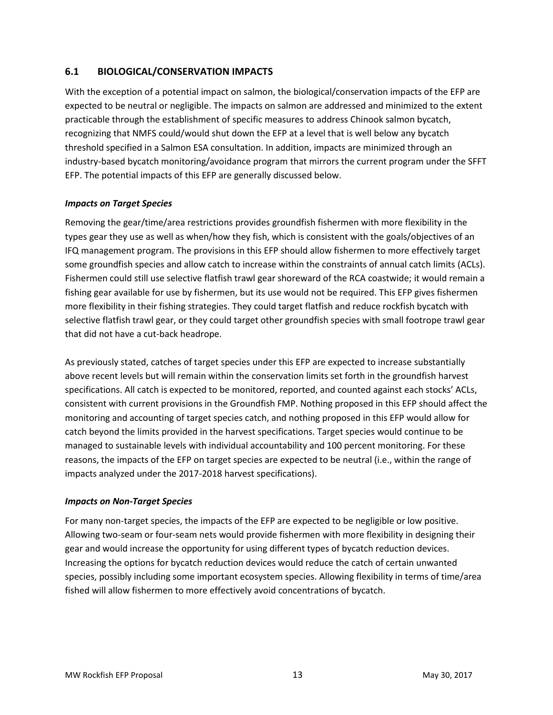# <span id="page-14-0"></span>**6.1 BIOLOGICAL/CONSERVATION IMPACTS**

With the exception of a potential impact on salmon, the biological/conservation impacts of the EFP are expected to be neutral or negligible. The impacts on salmon are addressed and minimized to the extent practicable through the establishment of specific measures to address Chinook salmon bycatch, recognizing that NMFS could/would shut down the EFP at a level that is well below any bycatch threshold specified in a Salmon ESA consultation. In addition, impacts are minimized through an industry-based bycatch monitoring/avoidance program that mirrors the current program under the SFFT EFP. The potential impacts of this EFP are generally discussed below.

#### *Impacts on Target Species*

Removing the gear/time/area restrictions provides groundfish fishermen with more flexibility in the types gear they use as well as when/how they fish, which is consistent with the goals/objectives of an IFQ management program. The provisions in this EFP should allow fishermen to more effectively target some groundfish species and allow catch to increase within the constraints of annual catch limits (ACLs). Fishermen could still use selective flatfish trawl gear shoreward of the RCA coastwide; it would remain a fishing gear available for use by fishermen, but its use would not be required. This EFP gives fishermen more flexibility in their fishing strategies. They could target flatfish and reduce rockfish bycatch with selective flatfish trawl gear, or they could target other groundfish species with small footrope trawl gear that did not have a cut-back headrope.

As previously stated, catches of target species under this EFP are expected to increase substantially above recent levels but will remain within the conservation limits set forth in the groundfish harvest specifications. All catch is expected to be monitored, reported, and counted against each stocks' ACLs, consistent with current provisions in the Groundfish FMP. Nothing proposed in this EFP should affect the monitoring and accounting of target species catch, and nothing proposed in this EFP would allow for catch beyond the limits provided in the harvest specifications. Target species would continue to be managed to sustainable levels with individual accountability and 100 percent monitoring. For these reasons, the impacts of the EFP on target species are expected to be neutral (i.e., within the range of impacts analyzed under the 2017-2018 harvest specifications).

#### *Impacts on Non-Target Species*

For many non-target species, the impacts of the EFP are expected to be negligible or low positive. Allowing two-seam or four-seam nets would provide fishermen with more flexibility in designing their gear and would increase the opportunity for using different types of bycatch reduction devices. Increasing the options for bycatch reduction devices would reduce the catch of certain unwanted species, possibly including some important ecosystem species. Allowing flexibility in terms of time/area fished will allow fishermen to more effectively avoid concentrations of bycatch.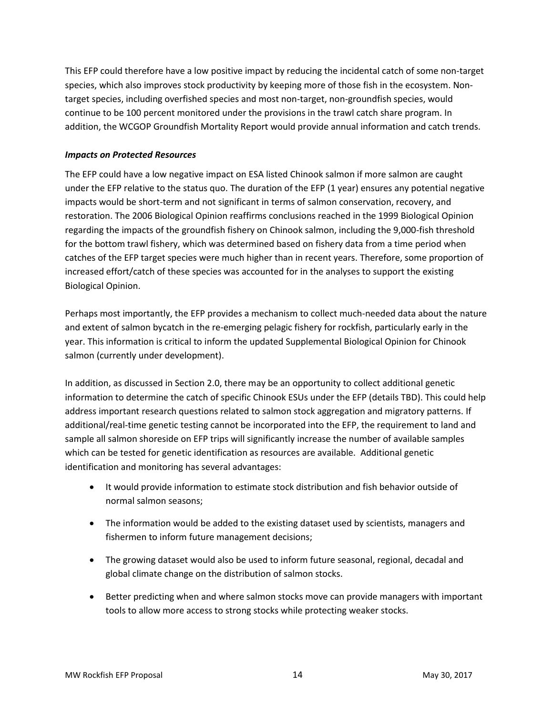This EFP could therefore have a low positive impact by reducing the incidental catch of some non-target species, which also improves stock productivity by keeping more of those fish in the ecosystem. Nontarget species, including overfished species and most non-target, non-groundfish species, would continue to be 100 percent monitored under the provisions in the trawl catch share program. In addition, the WCGOP Groundfish Mortality Report would provide annual information and catch trends.

#### *Impacts on Protected Resources*

The EFP could have a low negative impact on ESA listed Chinook salmon if more salmon are caught under the EFP relative to the status quo. The duration of the EFP (1 year) ensures any potential negative impacts would be short-term and not significant in terms of salmon conservation, recovery, and restoration. The 2006 Biological Opinion reaffirms conclusions reached in the 1999 Biological Opinion regarding the impacts of the groundfish fishery on Chinook salmon, including the 9,000-fish threshold for the bottom trawl fishery, which was determined based on fishery data from a time period when catches of the EFP target species were much higher than in recent years. Therefore, some proportion of increased effort/catch of these species was accounted for in the analyses to support the existing Biological Opinion.

Perhaps most importantly, the EFP provides a mechanism to collect much-needed data about the nature and extent of salmon bycatch in the re-emerging pelagic fishery for rockfish, particularly early in the year. This information is critical to inform the updated Supplemental Biological Opinion for Chinook salmon (currently under development).

In addition, as discussed in Section [2.0,](#page-3-0) there may be an opportunity to collect additional genetic information to determine the catch of specific Chinook ESUs under the EFP (details TBD). This could help address important research questions related to salmon stock aggregation and migratory patterns. If additional/real-time genetic testing cannot be incorporated into the EFP, the requirement to land and sample all salmon shoreside on EFP trips will significantly increase the number of available samples which can be tested for genetic identification as resources are available. Additional genetic identification and monitoring has several advantages:

- It would provide information to estimate stock distribution and fish behavior outside of normal salmon seasons;
- The information would be added to the existing dataset used by scientists, managers and fishermen to inform future management decisions;
- The growing dataset would also be used to inform future seasonal, regional, decadal and global climate change on the distribution of salmon stocks.
- Better predicting when and where salmon stocks move can provide managers with important tools to allow more access to strong stocks while protecting weaker stocks.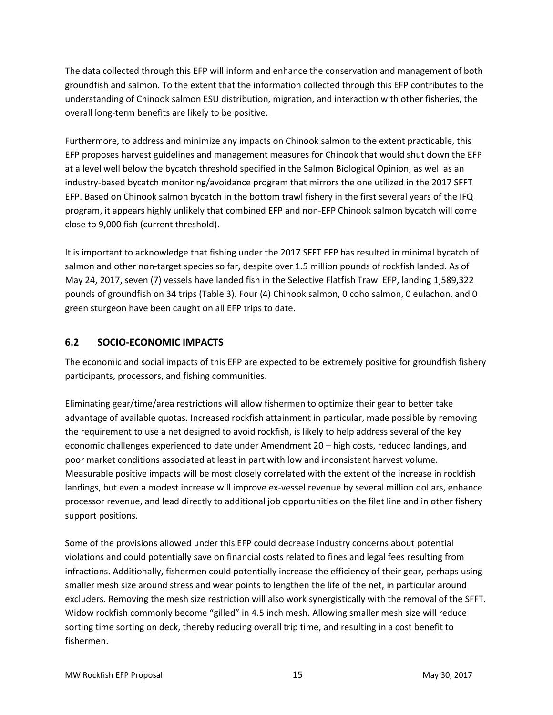The data collected through this EFP will inform and enhance the conservation and management of both groundfish and salmon. To the extent that the information collected through this EFP contributes to the understanding of Chinook salmon ESU distribution, migration, and interaction with other fisheries, the overall long-term benefits are likely to be positive.

Furthermore, to address and minimize any impacts on Chinook salmon to the extent practicable, this EFP proposes harvest guidelines and management measures for Chinook that would shut down the EFP at a level well below the bycatch threshold specified in the Salmon Biological Opinion, as well as an industry-based bycatch monitoring/avoidance program that mirrors the one utilized in the 2017 SFFT EFP. Based on Chinook salmon bycatch in the bottom trawl fishery in the first several years of the IFQ program, it appears highly unlikely that combined EFP and non-EFP Chinook salmon bycatch will come close to 9,000 fish (current threshold).

It is important to acknowledge that fishing under the 2017 SFFT EFP has resulted in minimal bycatch of salmon and other non-target species so far, despite over 1.5 million pounds of rockfish landed. As of May 24, 2017, seven (7) vessels have landed fish in the Selective Flatfish Trawl EFP, landing 1,589,322 pounds of groundfish on 34 trips [\(Table 3\)](#page-9-2). Four (4) Chinook salmon, 0 coho salmon, 0 eulachon, and 0 green sturgeon have been caught on all EFP trips to date.

# <span id="page-16-0"></span>**6.2 SOCIO-ECONOMIC IMPACTS**

The economic and social impacts of this EFP are expected to be extremely positive for groundfish fishery participants, processors, and fishing communities.

Eliminating gear/time/area restrictions will allow fishermen to optimize their gear to better take advantage of available quotas. Increased rockfish attainment in particular, made possible by removing the requirement to use a net designed to avoid rockfish, is likely to help address several of the key economic challenges experienced to date under Amendment 20 – high costs, reduced landings, and poor market conditions associated at least in part with low and inconsistent harvest volume. Measurable positive impacts will be most closely correlated with the extent of the increase in rockfish landings, but even a modest increase will improve ex-vessel revenue by several million dollars, enhance processor revenue, and lead directly to additional job opportunities on the filet line and in other fishery support positions.

Some of the provisions allowed under this EFP could decrease industry concerns about potential violations and could potentially save on financial costs related to fines and legal fees resulting from infractions. Additionally, fishermen could potentially increase the efficiency of their gear, perhaps using smaller mesh size around stress and wear points to lengthen the life of the net, in particular around excluders. Removing the mesh size restriction will also work synergistically with the removal of the SFFT. Widow rockfish commonly become "gilled" in 4.5 inch mesh. Allowing smaller mesh size will reduce sorting time sorting on deck, thereby reducing overall trip time, and resulting in a cost benefit to fishermen.